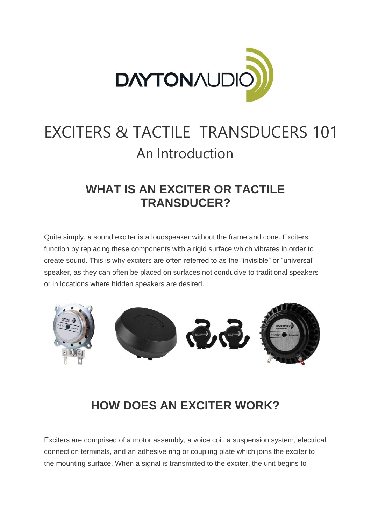

# EXCITERS & TACTILE TRANSDUCERS 101 An Introduction

### **WHAT IS AN EXCITER OR TACTILE TRANSDUCER?**

Quite simply, a sound exciter is a loudspeaker without the frame and cone. Exciters function by replacing these components with a rigid surface which vibrates in order to create sound. This is why exciters are often referred to as the "invisible" or "universal" speaker, as they can often be placed on surfaces not conducive to traditional speakers or in locations where hidden speakers are desired.



## **HOW DOES AN EXCITER WORK?**

Exciters are comprised of a motor assembly, a voice coil, a suspension system, electrical connection terminals, and an adhesive ring or coupling plate which joins the exciter to the mounting surface. When a signal is transmitted to the exciter, the unit begins to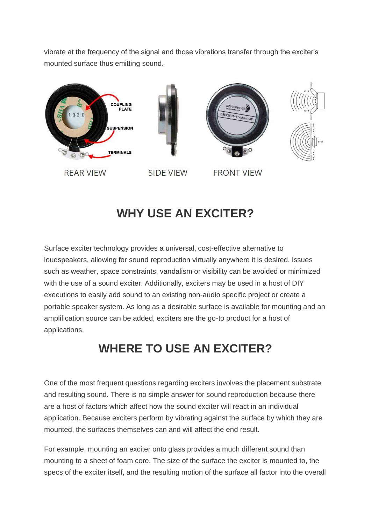vibrate at the frequency of the signal and those vibrations transfer through the exciter's mounted surface thus emitting sound.



## **WHY USE AN EXCITER?**

Surface exciter technology provides a universal, cost-effective alternative to loudspeakers, allowing for sound reproduction virtually anywhere it is desired. Issues such as weather, space constraints, vandalism or visibility can be avoided or minimized with the use of a sound exciter. Additionally, exciters may be used in a host of DIY executions to easily add sound to an existing non-audio specific project or create a portable speaker system. As long as a desirable surface is available for mounting and an amplification source can be added, exciters are the go-to product for a host of applications.

## **WHERE TO USE AN EXCITER?**

One of the most frequent questions regarding exciters involves the placement substrate and resulting sound. There is no simple answer for sound reproduction because there are a host of factors which affect how the sound exciter will react in an individual application. Because exciters perform by vibrating against the surface by which they are mounted, the surfaces themselves can and will affect the end result.

For example, mounting an exciter onto glass provides a much different sound than mounting to a sheet of foam core. The size of the surface the exciter is mounted to, the specs of the exciter itself, and the resulting motion of the surface all factor into the overall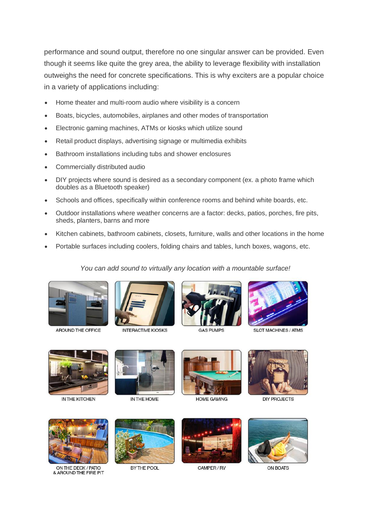performance and sound output, therefore no one singular answer can be provided. Even though it seems like quite the grey area, the ability to leverage flexibility with installation outweighs the need for concrete specifications. This is why exciters are a popular choice in a variety of applications including:

- Home theater and multi-room audio where visibility is a concern
- Boats, bicycles, automobiles, airplanes and other modes of transportation
- Electronic gaming machines, ATMs or kiosks which utilize sound
- Retail product displays, advertising signage or multimedia exhibits
- Bathroom installations including tubs and shower enclosures
- Commercially distributed audio
- DIY projects where sound is desired as a secondary component (ex. a photo frame which doubles as a Bluetooth speaker)
- Schools and offices, specifically within conference rooms and behind white boards, etc.
- Outdoor installations where weather concerns are a factor: decks, patios, porches, fire pits, sheds, planters, barns and more
- Kitchen cabinets, bathroom cabinets, closets, furniture, walls and other locations in the home
- Portable surfaces including coolers, folding chairs and tables, lunch boxes, wagons, etc.

#### *You can add sound to virtually any location with a mountable surface!*



AROUND THE OFFICE



**INTERACTIVE KIOSKS** 



**GAS PUMPS** 



**SLOT MACHINES / ATMS** 



IN THE KITCHEN



IN THE HOME



**HOME GAMING** 



**DIY PROJECTS** 



ON THE DECK / PATIO & AROUND THE FIRE PIT



BY THE POOL



CAMPER / RV



ON BOATS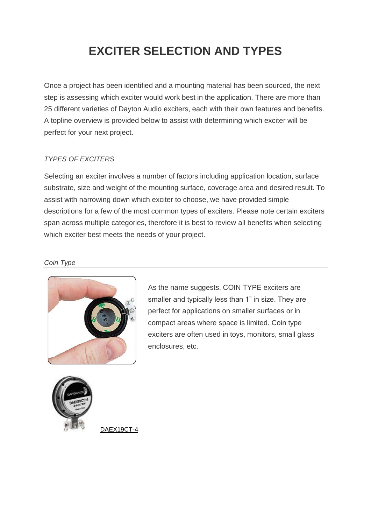# **EXCITER SELECTION AND TYPES**

Once a project has been identified and a mounting material has been sourced, the next step is assessing which exciter would work best in the application. There are more than 25 different varieties of Dayton Audio exciters, each with their own features and benefits. A topline overview is provided below to assist with determining which exciter will be perfect for your next project.

### *TYPES OF EXCITERS*

Selecting an exciter involves a number of factors including application location, surface substrate, size and weight of the mounting surface, coverage area and desired result. To assist with narrowing down which exciter to choose, we have provided simple descriptions for a few of the most common types of exciters. Please note certain exciters span across multiple categories, therefore it is best to review all benefits when selecting which exciter best meets the needs of your project.

#### *Coin Type*



As the name suggests, COIN TYPE exciters are smaller and typically less than 1" in size. They are perfect for applications on smaller surfaces or in compact areas where space is limited. Coin type exciters are often used in toys, monitors, small glass enclosures, etc.



[DAEX19CT-4](http://www.daytonaudio.com/index.php/loudspeaker-components/loudspeaker-drivers-by-series/exciters/daex19ct-4-coin-type-19mm-exciter-5w-4-ohm.html)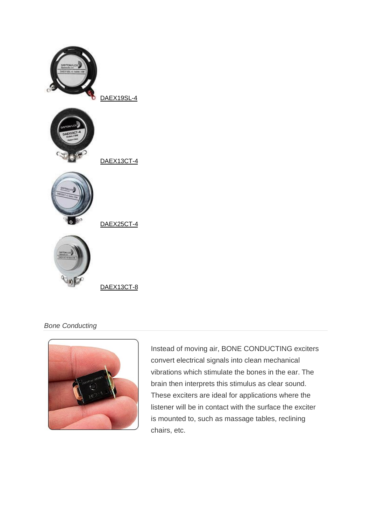

### *Bone Conducting*



Instead of moving air, BONE CONDUCTING exciters convert electrical signals into clean mechanical vibrations which stimulate the bones in the ear. The brain then interprets this stimulus as clear sound. These exciters are ideal for applications where the listener will be in contact with the surface the exciter is mounted to, such as massage tables, reclining chairs, etc.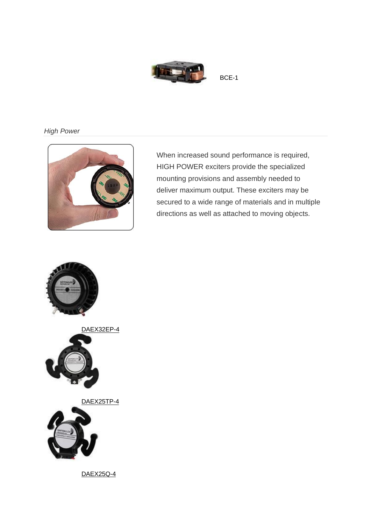

### *High Power*



When increased sound performance is required, HIGH POWER exciters provide the specialized mounting provisions and assembly needed to deliver maximum output. These exciters may be secured to a wide range of materials and in multiple directions as well as attached to moving objects.

[BCE-1](http://www.daytonaudio.com/index.php/loudspeaker-components/loudspeaker-drivers-by-series/exciters/bce-1-22-x-14mm-bone-conducting-exciter.html) 



[DAEX32EP-4](http://www.daytonaudio.com/index.php/loudspeaker-components/loudspeaker-drivers-by-series/exciters/daex32ep-4-thruster-32mm-exciter-40w-4-ohm.html)



[DAEX25TP-4](http://www.daytonaudio.com/index.php/loudspeaker-components/loudspeaker-drivers-by-series/exciters/daex25tp-4-tripod-feet-25mm-exciter-20w-4-ohm-1200.html)



[DAEX25Q-4](http://www.daytonaudio.com/index.php/loudspeaker-components/loudspeaker-drivers-by-series/exciters/daex25tp-4-tripod-feet-25mm-exciter-20w-4-ohm.html)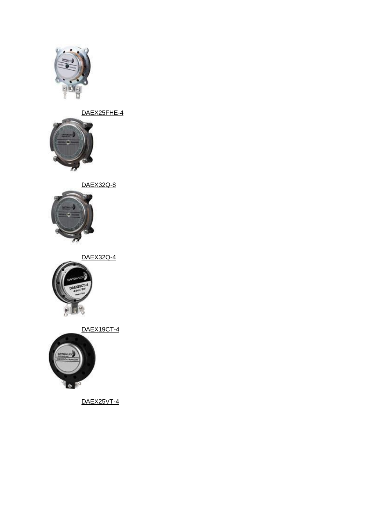

[DAEX25FHE-4](http://www.daytonaudio.com/index.php/loudspeaker-components/loudspeaker-drivers-by-series/exciters/daex25fhe-4-framed-high-efficiency-25mm-exciter.html)



[DAEX32Q-8](http://www.daytonaudio.com/index.php/loudspeaker-components/loudspeaker-drivers-by-series/exciters/daex32q-8-dual-steel-spring-balanced-exciter-32mm-40w-8-ohm.html)



[DAEX32Q-4](http://www.daytonaudio.com/index.php/loudspeaker-components/loudspeaker-drivers-by-series/exciters/daex32q-4-dual-steel-spring-balanced-exciter-32mm-40w-4-ohm.html)



[DAEX19CT-4](http://www.daytonaudio.com/index.php/loudspeaker-components/loudspeaker-drivers-by-series/exciters/daex19ct-4-coin-type-19mm-exciter-5w-4-ohm.html)



[DAEX25VT-4](http://www.daytonaudio.com/index.php/loudspeaker-components/loudspeaker-drivers-by-series/exciters/daex25vt-4-vented-25mm-exciter-20w-4-ohm.html)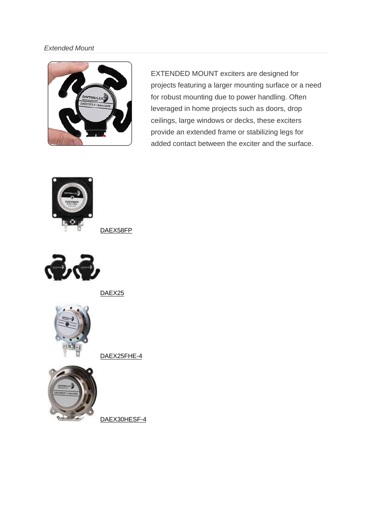#### *Extended Mount*



EXTENDED MOUNT exciters are designed for projects featuring a larger mounting surface or a need for robust mounting due to power handling. Often leveraged in home projects such as doors, drop ceilings, large windows or decks, these exciters provide an extended frame or stabilizing legs for added contact between the exciter and the surface.



[DAEX58FP](http://www.daytonaudio.com/index.php/loudspeaker-components/loudspeaker-drivers-by-series/exciters/dayton-audio-daex58fp-flat-pack-58mm-exciter-25w-8-ohm.html)



DAEX<sub>25</sub>



[DAEX25FHE-4](http://www.daytonaudio.com/index.php/loudspeaker-components/loudspeaker-drivers-by-series/exciters/daex25fhe-4-framed-high-efficiency-25mm-exciter.html)



[DAEX30HESF-4](http://www.daytonaudio.com/index.php/loudspeaker-components/loudspeaker-drivers-by-series/exciters/daex30hesf-4-high-efficiency-steered-flux-exciter.html)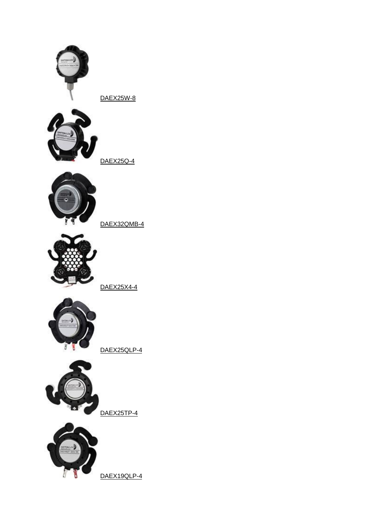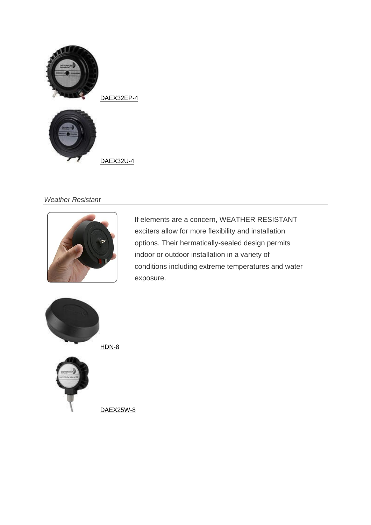

#### *Weather Resistant*



If elements are a concern, WEATHER RESISTANT exciters allow for more flexibility and installation options. Their hermatically-sealed design permits indoor or outdoor installation in a variety of conditions including extreme temperatures and water exposure.



[DAEX25W-8](http://www.daytonaudio.com/index.php/loudspeaker-components/loudspeaker-drivers-by-series/exciters/daex25w-8-waterproof-25mm-exciter-10w-8-ohm.html)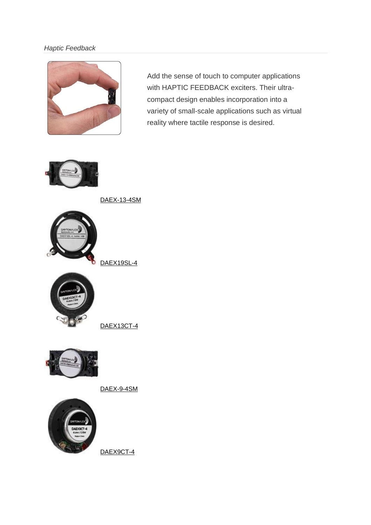### *Haptic Feedback*



Add the sense of touch to computer applications with HAPTIC FEEDBACK exciters. Their ultracompact design enables incorporation into a variety of small-scale applications such as virtual reality where tactile response is desired.



[DAEX-13-4SM](http://www.daytonaudio.com/index.php/loudspeaker-components/loudspeaker-drivers-by-series/exciters/daex-13-4sm-skinny-mini-exciter-audio-and-haptic-feedback-13mm-3w-4-ohm.html)



[DAEX19SL-4](http://www.daytonaudio.com/index.php/loudspeaker-components/loudspeaker-drivers-by-series/exciters/daex19sl-4-slimline-coin-type-19mm-exciter-4w-4-ohm.html)

[DAEX13CT-4](http://www.daytonaudio.com/index.php/loudspeaker-components/loudspeaker-drivers-by-series/exciters/daex13ct-4-coin-type-13mm-exciter-3w-4-ohm.html)



[DAEX-9-4SM](http://www.daytonaudio.com/index.php/loudspeaker-components/loudspeaker-drivers-by-series/exciters/daex-9-4sm-skinny-mini-exciter-audio-and-haptic-feedback-9mm-1w-4-ohm.html)



[DAEX9CT-4](http://www.daytonaudio.com/index.php/loudspeaker-components/loudspeaker-drivers-by-series/exciters/daex9ct-4-coin-type-9mm-exciter-0-5w-4-ohm.html)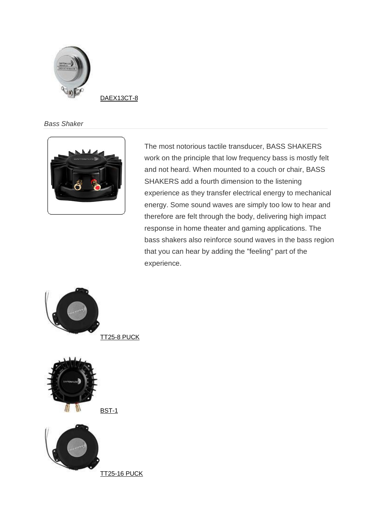

[DAEX13CT-8](http://www.daytonaudio.com/index.php/loudspeaker-components/loudspeaker-drivers-by-series/exciters/daex13ct-8-coin-type-13mm-exciter-3w-8-ohm.html)

*Bass Shaker*



The most notorious tactile transducer, BASS SHAKERS work on the principle that low frequency bass is mostly felt and not heard. When mounted to a couch or chair, BASS SHAKERS add a fourth dimension to the listening experience as they transfer electrical energy to mechanical energy. Some sound waves are simply too low to hear and therefore are felt through the body, delivering high impact response in home theater and gaming applications. The bass shakers also reinforce sound waves in the bass region that you can hear by adding the "feeling" part of the experience.

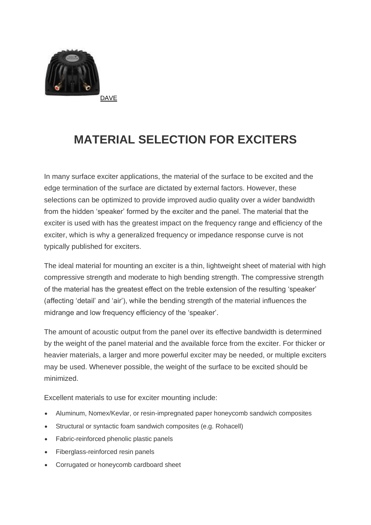

**MATERIAL SELECTION FOR EXCITERS**

In many surface exciter applications, the material of the surface to be excited and the edge termination of the surface are dictated by external factors. However, these selections can be optimized to provide improved audio quality over a wider bandwidth from the hidden 'speaker' formed by the exciter and the panel. The material that the exciter is used with has the greatest impact on the frequency range and efficiency of the exciter, which is why a generalized frequency or impedance response curve is not typically published for exciters.

The ideal material for mounting an exciter is a thin, lightweight sheet of material with high compressive strength and moderate to high bending strength. The compressive strength of the material has the greatest effect on the treble extension of the resulting 'speaker' (affecting 'detail' and 'air'), while the bending strength of the material influences the midrange and low frequency efficiency of the 'speaker'.

The amount of acoustic output from the panel over its effective bandwidth is determined by the weight of the panel material and the available force from the exciter. For thicker or heavier materials, a larger and more powerful exciter may be needed, or multiple exciters may be used. Whenever possible, the weight of the surface to be excited should be minimized.

Excellent materials to use for exciter mounting include:

- Aluminum, Nomex/Kevlar, or resin-impregnated paper honeycomb sandwich composites
- Structural or syntactic foam sandwich composites (e.g. Rohacell)
- Fabric-reinforced phenolic plastic panels
- Fiberglass-reinforced resin panels
- Corrugated or honeycomb cardboard sheet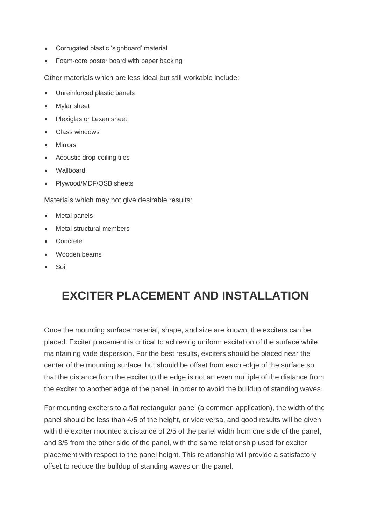- Corrugated plastic 'signboard' material
- Foam-core poster board with paper backing

Other materials which are less ideal but still workable include:

- Unreinforced plastic panels
- Mylar sheet
- Plexiglas or Lexan sheet
- Glass windows
- **Mirrors**
- Acoustic drop-ceiling tiles
- Wallboard
- Plywood/MDF/OSB sheets

Materials which may not give desirable results:

- Metal panels
- Metal structural members
- **Concrete**
- Wooden beams
- **Soil**

# **EXCITER PLACEMENT AND INSTALLATION**

Once the mounting surface material, shape, and size are known, the exciters can be placed. Exciter placement is critical to achieving uniform excitation of the surface while maintaining wide dispersion. For the best results, exciters should be placed near the center of the mounting surface, but should be offset from each edge of the surface so that the distance from the exciter to the edge is not an even multiple of the distance from the exciter to another edge of the panel, in order to avoid the buildup of standing waves.

For mounting exciters to a flat rectangular panel (a common application), the width of the panel should be less than 4/5 of the height, or vice versa, and good results will be given with the exciter mounted a distance of 2/5 of the panel width from one side of the panel, and 3/5 from the other side of the panel, with the same relationship used for exciter placement with respect to the panel height. This relationship will provide a satisfactory offset to reduce the buildup of standing waves on the panel.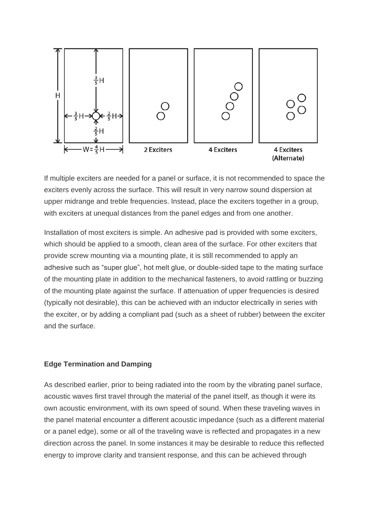

If multiple exciters are needed for a panel or surface, it is not recommended to space the exciters evenly across the surface. This will result in very narrow sound dispersion at upper midrange and treble frequencies. Instead, place the exciters together in a group, with exciters at unequal distances from the panel edges and from one another.

Installation of most exciters is simple. An adhesive pad is provided with some exciters, which should be applied to a smooth, clean area of the surface. For other exciters that provide screw mounting via a mounting plate, it is still recommended to apply an adhesive such as "super glue", hot melt glue, or double-sided tape to the mating surface of the mounting plate in addition to the mechanical fasteners, to avoid rattling or buzzing of the mounting plate against the surface. If attenuation of upper frequencies is desired (typically not desirable), this can be achieved with an inductor electrically in series with the exciter, or by adding a compliant pad (such as a sheet of rubber) between the exciter and the surface.

#### **Edge Termination and Damping**

As described earlier, prior to being radiated into the room by the vibrating panel surface, acoustic waves first travel through the material of the panel itself, as though it were its own acoustic environment, with its own speed of sound. When these traveling waves in the panel material encounter a different acoustic impedance (such as a different material or a panel edge), some or all of the traveling wave is reflected and propagates in a new direction across the panel. In some instances it may be desirable to reduce this reflected energy to improve clarity and transient response, and this can be achieved through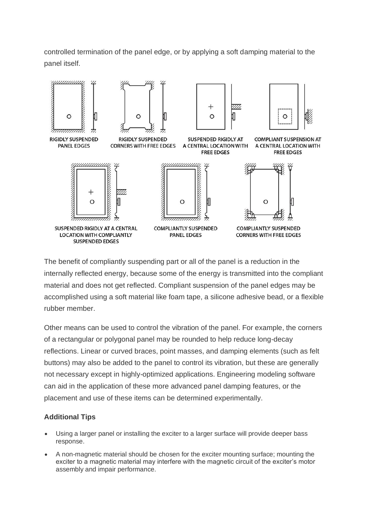controlled termination of the panel edge, or by applying a soft damping material to the panel itself.



The benefit of compliantly suspending part or all of the panel is a reduction in the internally reflected energy, because some of the energy is transmitted into the compliant material and does not get reflected. Compliant suspension of the panel edges may be accomplished using a soft material like foam tape, a silicone adhesive bead, or a flexible rubber member.

Other means can be used to control the vibration of the panel. For example, the corners of a rectangular or polygonal panel may be rounded to help reduce long-decay reflections. Linear or curved braces, point masses, and damping elements (such as felt buttons) may also be added to the panel to control its vibration, but these are generally not necessary except in highly-optimized applications. Engineering modeling software can aid in the application of these more advanced panel damping features, or the placement and use of these items can be determined experimentally.

### **Additional Tips**

- Using a larger panel or installing the exciter to a larger surface will provide deeper bass response.
- A non-magnetic material should be chosen for the exciter mounting surface; mounting the exciter to a magnetic material may interfere with the magnetic circuit of the exciter's motor assembly and impair performance.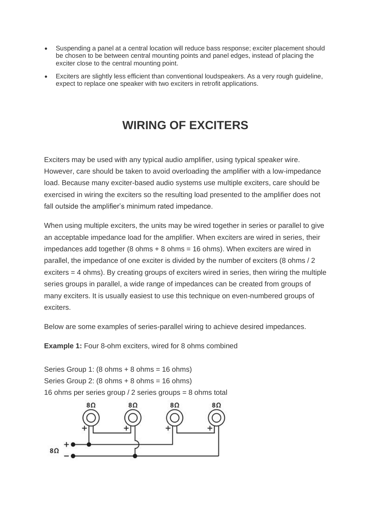- Suspending a panel at a central location will reduce bass response; exciter placement should be chosen to be between central mounting points and panel edges, instead of placing the exciter close to the central mounting point.
- Exciters are slightly less efficient than conventional loudspeakers. As a very rough guideline, expect to replace one speaker with two exciters in retrofit applications.

## **WIRING OF EXCITERS**

Exciters may be used with any typical audio amplifier, using typical speaker wire. However, care should be taken to avoid overloading the amplifier with a low-impedance load. Because many exciter-based audio systems use multiple exciters, care should be exercised in wiring the exciters so the resulting load presented to the amplifier does not fall outside the amplifier's minimum rated impedance.

When using multiple exciters, the units may be wired together in series or parallel to give an acceptable impedance load for the amplifier. When exciters are wired in series, their impedances add together (8 ohms  $+ 8$  ohms = 16 ohms). When exciters are wired in parallel, the impedance of one exciter is divided by the number of exciters (8 ohms / 2 exciters = 4 ohms). By creating groups of exciters wired in series, then wiring the multiple series groups in parallel, a wide range of impedances can be created from groups of many exciters. It is usually easiest to use this technique on even-numbered groups of exciters.

Below are some examples of series-parallel wiring to achieve desired impedances.

**Example 1:** Four 8-ohm exciters, wired for 8 ohms combined

Series Group 1:  $(8 \text{ ohms} + 8 \text{ ohms} = 16 \text{ ohms})$ Series Group 2:  $(8 \text{ ohms} + 8 \text{ ohms} = 16 \text{ ohms})$ 16 ohms per series group / 2 series groups = 8 ohms total

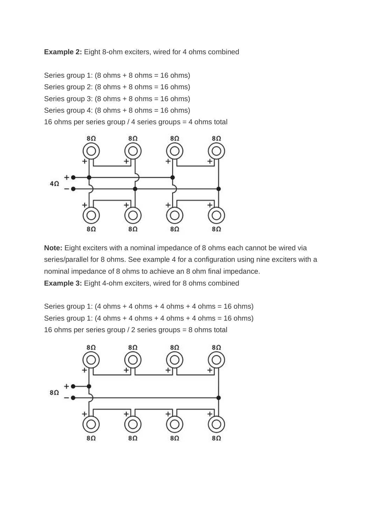**Example 2:** Eight 8-ohm exciters, wired for 4 ohms combined

Series group 1:  $(8 \text{ ohms} + 8 \text{ ohms} = 16 \text{ ohms})$ Series group 2:  $(8 \text{ ohms} + 8 \text{ ohms} = 16 \text{ ohms})$ Series group 3:  $(8 \text{ ohms} + 8 \text{ ohms} = 16 \text{ ohms})$ Series group 4:  $(8 \text{ ohms} + 8 \text{ ohms} = 16 \text{ ohms})$ 16 ohms per series group / 4 series groups = 4 ohms total



**Note:** Eight exciters with a nominal impedance of 8 ohms each cannot be wired via series/parallel for 8 ohms. See example 4 for a configuration using nine exciters with a nominal impedance of 8 ohms to achieve an 8 ohm final impedance. **Example 3:** Eight 4-ohm exciters, wired for 8 ohms combined

Series group 1:  $(4 \text{ ohms} + 4 \text{ ohms} + 4 \text{ ohms} + 4 \text{ ohms} = 16 \text{ ohms})$ Series group 1: (4 ohms  $+$  4 ohms  $+$  4 ohms  $+$  4 ohms = 16 ohms) 16 ohms per series group / 2 series groups = 8 ohms total

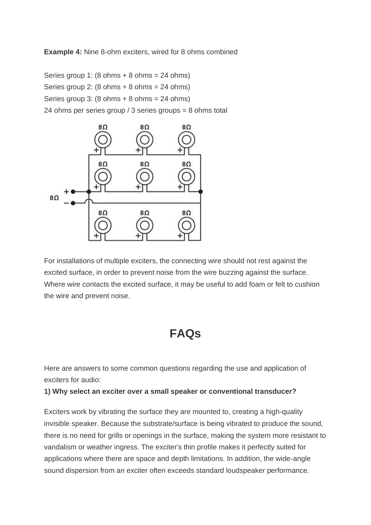**Example 4:** Nine 8-ohm exciters, wired for 8 ohms combined

Series group 1:  $(8 \text{ ohms} + 8 \text{ ohms} = 24 \text{ ohms})$ Series group 2:  $(8 \text{ ohms} + 8 \text{ ohms} = 24 \text{ ohms})$ Series group 3:  $(8 \text{ ohms} + 8 \text{ ohms} = 24 \text{ ohms})$ 24 ohms per series group / 3 series groups = 8 ohms total



For installations of multiple exciters, the connecting wire should not rest against the excited surface, in order to prevent noise from the wire buzzing against the surface. Where wire contacts the excited surface, it may be useful to add foam or felt to cushion the wire and prevent noise.

### **FAQs**

Here are answers to some common questions regarding the use and application of exciters for audio:

**1) Why select an exciter over a small speaker or conventional transducer?**

Exciters work by vibrating the surface they are mounted to, creating a high-quality invisible speaker. Because the substrate/surface is being vibrated to produce the sound, there is no need for grills or openings in the surface, making the system more resistant to vandalism or weather ingress. The exciter's thin profile makes it perfectly suited for applications where there are space and depth limitations. In addition, the wide-angle sound dispersion from an exciter often exceeds standard loudspeaker performance.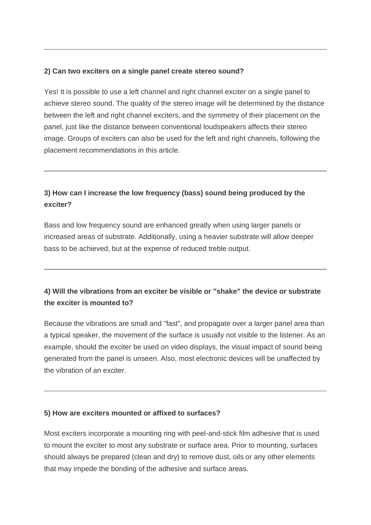### **2) Can two exciters on a single panel create stereo sound?**

Yes! It is possible to use a left channel and right channel exciter on a single panel to achieve stereo sound. The quality of the stereo image will be determined by the distance between the left and right channel exciters, and the symmetry of their placement on the panel, just like the distance between conventional loudspeakers affects their stereo image. Groups of exciters can also be used for the left and right channels, following the placement recommendations in this article.

### **3) How can I increase the low frequency (bass) sound being produced by the exciter?**

Bass and low frequency sound are enhanced greatly when using larger panels or increased areas of substrate. Additionally, using a heavier substrate will allow deeper bass to be achieved, but at the expense of reduced treble output.

### **4) Will the vibrations from an exciter be visible or "shake" the device or substrate the exciter is mounted to?**

Because the vibrations are small and "fast", and propagate over a larger panel area than a typical speaker, the movement of the surface is usually not visible to the listener. As an example, should the exciter be used on video displays, the visual impact of sound being generated from the panel is unseen. Also, most electronic devices will be unaffected by the vibration of an exciter.

### **5) How are exciters mounted or affixed to surfaces?**

Most exciters incorporate a mounting ring with peel-and-stick film adhesive that is used to mount the exciter to most any substrate or surface area. Prior to mounting, surfaces should always be prepared (clean and dry) to remove dust, oils or any other elements that may impede the bonding of the adhesive and surface areas.